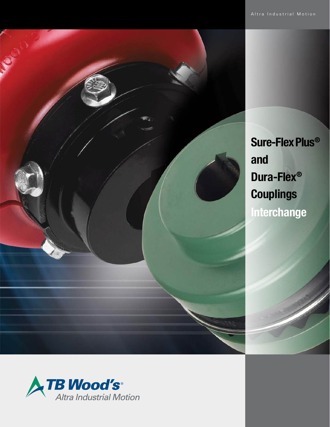

**Sure-FlexPlus® and Dura-Flex® Couplings Interchange**

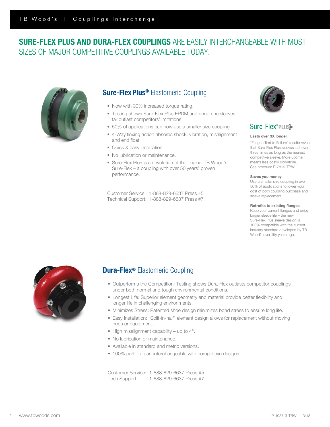# SURE-FLEX PLUS AND DURA-FLEX COUPLINGS ARE EASILY INTERCHANGEABLE WITH MOST SIZES OF MAJOR COMPETITIVE COUPLINGS AVAILABLE TODAY.



# Sure-Flex Plus® Elastomeric Coupling

- Now with 30% increased torque rating.
- Testing shows Sure-Flex Plus EPDM and neoprene sleeves far outlast competitors' imitations.
- 50% of applications can now use a smaller size coupling.
- 4-Way flexing action absorbs shock, vibration, misalignment and end float.
- Quick & easy installation.
- No lubrication or maintenance.
- Sure-Flex Plus is an evolution of the original TB Wood's Sure-Flex – a coupling with over 50 years' proven performance.

Customer Service: 1-888-829-6637 Press #5 Technical Support: 1-888-829-6637 Press #7



## Sure-Flex®PLUS-

## Lasts over 3X longer

"Fatigue Test to Failure" results reveal that Sure-Flex Plus sleeves last over three times as long as the nearest competitive sleeve. More uptime means less costly downtime. See brochure P-7819-TBW.

## Saves you money

Use a smaller size coupling in over 50% of applications to lower your cost of both coupling purchase and sleeve replacement.

### Retrofits to existing flanges

Keep your current flanges and enjoy longer sleeve life – the new Sure-Flex Plus sleeve design is 100% compatible with the current industry standard developed by TB Wood's over fifty years ago.



## **Dura-Flex®** Elastomeric Coupling

- Outperforms the Competition: Testing shows Dura-Flex outlasts competitor couplings under both normal and tough environmental conditions.
- Longest Life: Superior element geometry and material provide better flexibility and longer life in challenging environments.
- Minimizes Stress: Patented shoe design minimizes bond stress to ensure long life.
- Easy Installation: "Split-in-half" element design allows for replacement without moving hubs or equipment.
- High misalignment capability up to 4°.
- No lubrication or maintenance.
- Available in standard and metric versions.
- 100% part-for-part interchangeable with competitive designs.

Customer Service: 1-888-829-6637 Press #5 Tech Support: 1-888-829-6637 Press #7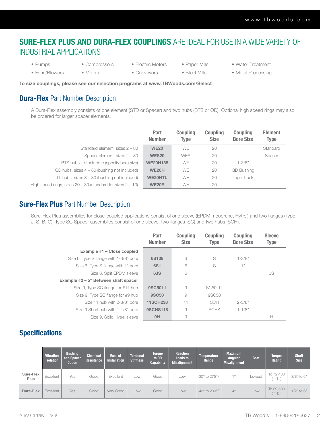# SURE-FLEX PLUS AND DURA-FLEX COUPLINGS ARE IDEAL FOR USE IN A WIDE VARIETY OF INDUSTRIAL APPLICATIONS

- Pumps
- Compressors
- Fans/Blowers
- Mixers
- Electric Motors • Conveyors
- Paper Mills

• Steel Mills

- Water Treatment
- Metal Processing

To size couplings, please see our selection programs at www.TBWoods.com/Select

# **Dura-Flex** Part Number Description

A Dura-Flex assembly consists of one element (STD or Spacer) and two hubs (BTS or QD). Optional high speed rings may also be ordered for larger spacer elements.

|                                                                  | Part<br><b>Number</b> | <b>Coupling</b><br>Type | <b>Coupling</b><br><b>Size</b> | <b>Coupling</b><br><b>Bore Size</b> | <b>Element</b><br><b>Type</b> |
|------------------------------------------------------------------|-----------------------|-------------------------|--------------------------------|-------------------------------------|-------------------------------|
| Standard element, sizes 2 - 80                                   | <b>WE20</b>           | <b>WE</b>               | 20                             |                                     | Standard                      |
| Spacer element, sizes 2 - 80                                     | <b>WES20</b>          | <b>WES</b>              | 20                             |                                     | Spacer                        |
| BTS hubs – stock bore (specify bore size)                        | <b>WE20H138</b>       | <b>WE</b>               | 20                             | $1 - 3/8"$                          |                               |
| $QD$ hubs, sizes $4 - 80$ (bushing not included)                 | <b>WE20H</b>          | <b>WE</b>               | 20                             | <b>QD Bushing</b>                   |                               |
| TL hubs, sizes 3 – 80 (bushing not included)                     | <b>WE20HTL</b>        | <b>WE</b>               | 20                             | Taper-Lock                          |                               |
| High speed rings, sizes $20 - 80$ (standard for sizes $2 - 10$ ) | <b>WE20R</b>          | <b>WE</b>               | 20                             |                                     |                               |

## **Sure-Flex Plus** Part Number Description

Sure-Flex Plus assemblies for close-coupled applications consist of one sleeve (EPDM, neoprene, Hytrel) and two flanges (Type J, S, B, C). Type SC Spacer assemblies consist of one sleeve, two flanges (SC) and two hubs (SCH).

|                                        | Part<br><b>Number</b> | <b>Coupling</b><br><b>Size</b> | <b>Coupling</b><br>Type | <b>Coupling</b><br><b>Bore Size</b> | <b>Sleeve</b><br><b>Type</b> |
|----------------------------------------|-----------------------|--------------------------------|-------------------------|-------------------------------------|------------------------------|
| Example #1 - Close coupled             |                       |                                |                         |                                     |                              |
| Size 6, Type S flange with 1-3/8" bore | 6S138                 | 6                              | S                       | $1 - 3/8"$                          |                              |
| Size 6, Type S flange with 1" bore     | <b>6S1</b>            | 6                              | S                       | $+$ "                               |                              |
| Size 6. Split EPDM sleeve              | 6JS                   | 6                              |                         |                                     | JS                           |
| Example #2 – 5" Between shaft spacer   |                       |                                |                         |                                     |                              |
| Size 9, Type SC flange for #11 hub     | 9SC5011               | 9                              | SC <sub>50</sub> -11    |                                     |                              |
| Size 9, Type SC flange for #9 hub      | <b>9SC50</b>          | 9                              | 9SC50                   |                                     |                              |
| Size 11 hub with 2-3/8" bore           | <b>11SCH238</b>       | 11                             | <b>SCH</b>              | $2 - 3/8"$                          |                              |
| Size 9 Short hub with 1-1/8" bore      | <b>9SCHS118</b>       | 9                              | SCHS                    | $1 - 1/8"$                          |                              |
| Size 9. Solid Hytrel sleeve            | 9H                    | 9                              |                         |                                     | н                            |

# **Specifications**

|                          | <b>Vibration</b><br><b>Isolation</b> | <b>Bushing</b><br>and Spacer<br><b>Option</b> | <b>Chemical</b><br>Resistance | Ease of<br><b>Installation</b> | <b>Torsional</b><br><b>Stiffness</b> | <b>Torque</b><br>to OD<br><b>Capability</b> | <b>Reaction</b><br>Loads to<br><b>Misalignment</b> | <b>Temperature</b><br>Range   | <b>Maximum</b><br><b>Angular</b><br><b>Misalignment</b> | Cost   | <b>Torque</b><br>Rating | <b>Shaft</b><br><b>Size</b> |
|--------------------------|--------------------------------------|-----------------------------------------------|-------------------------------|--------------------------------|--------------------------------------|---------------------------------------------|----------------------------------------------------|-------------------------------|---------------------------------------------------------|--------|-------------------------|-----------------------------|
| Sure-Flex<br><b>Plus</b> | Excellent                            | Yes                                           | Good                          | Excellent                      | LOW.                                 | Good                                        | Low                                                | -30° to 275°F                 | $\rightarrow$                                           | Lowest | To 72,480<br>(in.lb.)   | $3/8"$ to $6"$              |
| Dura-Flex                | Excellent                            | Yes                                           | Good                          | Very Good                      | Low                                  | Good                                        | Low                                                | $-40^\circ$ to 200 $^\circ$ F | $4^\circ$                                               | Low    | To 39,500<br>(in.lb.)   | $1/2$ " to $6$ "            |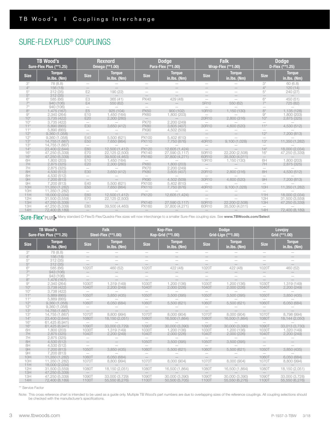# SURE-FLEX PLUS® COUPLINGS

|             | <b>TB Wood's</b><br>Sure-Flex Plus (**1.25) |                          | <b>Rexnord</b><br>Omega (**1.00) |                          | <b>Dodge</b><br>Para-Flex (**1.00) |                          | <b>Falk</b><br>Wrap-Flex (**1.00) |                          | <b>Dodge</b><br>D-Flex (**1.25) |
|-------------|---------------------------------------------|--------------------------|----------------------------------|--------------------------|------------------------------------|--------------------------|-----------------------------------|--------------------------|---------------------------------|
| <b>Size</b> | <b>Torque</b><br>in.lbs. (Nm)               | <b>Size</b>              | <b>Torque</b><br>in.lbs. (Nm)    | <b>Size</b>              | <b>Torque</b><br>in.lbs. (Nm)      | <b>Size</b>              | <b>Torque</b><br>in.lbs. (Nm)     | <b>Size</b>              | <b>Torque</b><br>in.lbs. (Nm)   |
| $3^{\star}$ | 78 (8.8)                                    |                          |                                  |                          |                                    |                          |                                   | $3^*$                    | 60 (6.8)                        |
| $4^*$       | 156(18)                                     |                          |                                  |                          |                                    |                          |                                   | $4^*$                    | 120(14)                         |
| $5*$        | 312(35)                                     | E2                       | 190 (22)                         |                          |                                    |                          |                                   | $5^*$                    | 240(27)                         |
| $5^*$       | 312(35)                                     |                          |                                  |                          |                                    |                          |                                   |                          |                                 |
| $6*$        | 585 (66)                                    | E <sub>3</sub>           | 365(41)                          | <b>PX40</b>              | 429 (48)                           |                          | $\overline{\phantom{m}}$          | $6^*$                    | 450(51)                         |
| $7^*$       | 940 (106)                                   | E4                       | 550 (62)                         | $\overline{\phantom{0}}$ | $\qquad \qquad -$                  | 5R10                     | 550 (62)                          | $7^*$                    | 725 (82)                        |
| $7^*$       | 940 (106)                                   | $\overline{\phantom{0}}$ |                                  |                          |                                    |                          |                                   |                          |                                 |
| $8*$        | 1,475 (167)                                 | F <sub>5</sub>           | 925 (104)                        | <b>PX50</b>              | 900(102)                           | 10R10                    | 1,150 (130)                       | $8*$                     | 1,135 (128)                     |
| $9^*$       | 2,340 (264)                                 | E10                      | 1,450 (164)                      | <b>PX60</b>              | 1,800 (203)                        |                          |                                   | $\Theta^\star$           | 1,800 (203)                     |
| $10*$       | 3,735 (422)                                 | E20                      | 2,300 (260)                      |                          |                                    | 20R10                    | 2,800(316)                        | $10*$                    | 2,875 (325)                     |
| $10*$       | 3,735 (422)                                 | $\overline{\phantom{0}}$ |                                  | <b>PX70</b>              | 2,200(249)                         |                          |                                   |                          |                                 |
| $11*$       | 5,890 (665)                                 | E30                      | 3,650(412)                       | <b>PX80</b>              | 3,605(407)                         | 30R10                    | 4,600 (520)                       | $11*$                    | 4,530 (512)                     |
| $11*$       | 5,890 (665)                                 |                          |                                  | <b>PX90</b>              | 4,502 (509)                        |                          |                                   |                          |                                 |
| $12*$       | 9,360 (1,058)                               | $\equiv$                 |                                  |                          |                                    |                          |                                   | $12*$                    | 7,200 (813)                     |
| $12*$       | 9,360 (1,058)                               | E40                      | 5,500 (621)                      | PX100                    | 5,402(610)                         |                          |                                   |                          |                                 |
| $13*$       | 14,755 (1,667)                              | E50                      | 7,650 (864)                      | <b>PX110</b>             | 7,750 (876)                        | 40R10                    | 9,100(1,028)                      | $13*$                    | 11,350 (1,282)                  |
| $13*$       | 14,755 (1,667)                              |                          |                                  |                          |                                    |                          |                                   |                          |                                 |
| $14*$       | 23,400 (2,644)                              | <b>E60</b>               | 12,500 (1,412)                   | <b>PX120</b>             | 12,605 (1,424)                     |                          |                                   | $14*$                    | 18,000 (2,034)                  |
| $16*$       | 47,250 (5,339)                              | <b>E70</b>               | 22,125 (2,500)                   | PX140                    | 27,590 (3,117)                     | 50R10                    | 22,200 (2,508)                    | $16*$                    | 47,250 (5,339)                  |
| $16*$       | 47,250 (5,339)                              | <b>E80</b>               | 39,500 (4,463)                   | PX160                    | 37,800 (4,271)                     | 60R10                    | 35,500 (4,011)                    | $\frac{1}{2}$            |                                 |
| 6H          | 1,800 (203)                                 | E10                      | 1.450 (164)                      |                          |                                    | 10R10                    | 1,150 (130)                       | 6H                       | 1,800 (203)                     |
| 7H          | 2,875(325)                                  | E20                      | 2,300(260)                       | <b>PX60</b>              | 1,800 (203)                        | $\overline{\phantom{0}}$ |                                   | 7H                       | 2,875(325)                      |
| 7H          | 2,875 (325)                                 | $\overline{\phantom{m}}$ |                                  | <b>PX70</b>              | 2,200(249)                         |                          |                                   |                          |                                 |
| 8H          | 4,530 (512)                                 | E30                      | 3,650(412)                       | <b>PX80</b>              | 3,605(407)                         | 20R10                    | 2,800(316)                        | 8H                       | 4,530 (512)                     |
| 8H          | 4,530 (512)                                 | $\overline{\phantom{0}}$ |                                  | $\overline{\phantom{0}}$ |                                    |                          |                                   |                          |                                 |
| 9H          | 7,200 (813)                                 | $\overline{\phantom{0}}$ |                                  | <b>PX90</b>              | 4,502 (509)                        | 30R10                    | 4,600 (520)                       | 9H                       | 7,200 (813)                     |
| 9H          | 7,200 (813)                                 | E40                      | 5.500 (621)                      | <b>PX100</b>             | 5,402(610)                         | $\qquad \qquad -$        |                                   |                          |                                 |
| 10H         | 11,350 (1,282)                              | E50                      | 7,650 (864)                      | PX110                    | 7,750 (876)                        | 40R10                    | 9,100(1,028)                      | 10H                      | 11,350 (1,282)                  |
| 10H         | 11,350 (1,282)                              | $\qquad \qquad -$        |                                  |                          |                                    |                          |                                   | $\overline{\phantom{0}}$ |                                 |
| 11H         | 18,000 (2,034)                              | E60                      | 12,500 (1,412)                   | <b>PX120</b>             | 12,605 (1,424)                     | $\overline{\phantom{0}}$ |                                   | 11H                      | 18,000 (2,034)                  |
| 12H         | 31,500 (3,559)                              | E70                      | 22,125 (2,500)                   |                          |                                    |                          |                                   | 12H                      | 31,500 (3,559)                  |
| 13H         | 47,250 (5,339)                              | $\overline{\phantom{0}}$ |                                  | <b>PX140</b>             | 27,590 (3,117)                     | 50R10                    | 22,200 (2,508)                    | 13H                      | 47,250 (5,339)                  |
| 13H         | 47,250 (5,339)                              | E80                      | 39,500 (4,463)                   | PX160                    | 37,800 (4,271)                     | 60R10                    | 35,500 (4,011)                    | $\overline{\phantom{0}}$ |                                 |
| 14H         | 72,400 (8,189)                              | $\overline{\phantom{m}}$ |                                  |                          |                                    |                          |                                   | 14H                      | 72,400 (8,189)                  |

\*Sure-Flex®PLUS-Many standard D-Flex/S-Flex/Quadra-Flex sizes will now interchange to a smaller Sure-Flex coupling size. See www.TBWoods.com/Select

|             | <b>TB Wood's</b><br>Sure-Flex Plus (**1.25) |                          | <b>Falk</b><br>Steel-Flex (**1.00) |                          | <b>Kop-Flex</b><br>Kop-Grid (**1.00) |                          | <b>Dodge</b><br>Grid-Lign (**1.00) |                          | Lovejoy<br>Grid (**1.00)      |
|-------------|---------------------------------------------|--------------------------|------------------------------------|--------------------------|--------------------------------------|--------------------------|------------------------------------|--------------------------|-------------------------------|
| <b>Size</b> | <b>Torque</b><br>in.lbs. (Nm)               | <b>Size</b>              | <b>Torque</b><br>in.lbs. (Nm)      | <b>Size</b>              | <b>Torque</b><br>in.lbs. (Nm)        | <b>Size</b>              | <b>Torque</b><br>$in.$ Ibs. $(Nm)$ | <b>Size</b>              | <b>Torque</b><br>in.lbs. (Nm) |
| $3^*$       | 78 (8.8)                                    |                          |                                    |                          |                                      |                          |                                    |                          |                               |
| $4^*$       | 156 (18)                                    | $\qquad \qquad -$        | $\qquad \qquad -$                  |                          |                                      |                          |                                    | $\overline{\phantom{0}}$ |                               |
| $5^*$       | 312(35)                                     |                          |                                    |                          |                                      |                          |                                    |                          |                               |
| $5*$        | 312(35)                                     |                          |                                    |                          |                                      |                          |                                    |                          |                               |
| $6*$        | 585 (66)                                    | 1020T                    | 460 (52)                           | 1020T                    | 422 (48)                             | 1020T                    | 422 (48)                           | 1020T                    | 460 (52)                      |
| $7^*$       | 943 (106)                                   | $\overline{\phantom{m}}$ |                                    |                          |                                      |                          | $\overline{\phantom{m}}$           |                          |                               |
| $7^*$       | 943 (106)                                   | $\qquad \qquad -$        | $\overline{\phantom{0}}$           |                          | $\overline{\phantom{0}}$             |                          |                                    | $\overline{\phantom{0}}$ |                               |
| $8*$        | 1,476 (167)                                 | $\equiv$                 |                                    |                          |                                      | $\frac{1}{2}$            |                                    |                          |                               |
| $9^*$       | 2,340 (264)                                 | 1030T                    | 1,319 (149)                        | 1030T                    | 1,200 (136)                          | 1030T                    | 1.200 (136)                        | 1030T                    | 1,319 (149)                   |
| $10*$       | 3,738 (422)                                 | 1040T                    | 2,200(249)                         | 1040T                    | 2,000 (226)                          | 1040T                    | 2,000(226)                         | 1040T                    | 2,200(249)                    |
| $10*$       | 3,738 (422)                                 | $\overline{\phantom{m}}$ |                                    |                          |                                      |                          |                                    |                          |                               |
| $11*$       | 5,889 (665)                                 | <b>1050T</b>             | 3,850(435)                         | 1050T                    | 3,500(395)                           | 1050T                    | 3,500(395)                         | 1050T                    | 3,850(435)                    |
| $11*$       | 5,889 (665)                                 |                          |                                    |                          |                                      | $\equiv$                 |                                    |                          |                               |
| $12*$       | 9,360 (1,058)                               | 1060T                    | 6,050 (684)                        | 1060T                    | 5,500(621)                           | 1060T                    | 5,500(621)                         | 1060T                    | 6,050 (684)                   |
| $12*$       | 9,360 (1,058)                               |                          |                                    |                          |                                      |                          |                                    |                          |                               |
| $13*$       | 14,755 (1,667)                              | $\overline{\phantom{m}}$ |                                    |                          |                                      |                          |                                    |                          |                               |
| $13*$       | 14,755 (1,667)                              | 1070T                    | 8,800 (994)                        | 1070T                    | 8,000 (904)                          | 1070T                    | 8,000 (904)                        | 1070T                    | 8,798 (994)                   |
| $14*$       | 23,400 (2,644)                              | 1080T                    | 18,150 (2,051)                     | 1080T                    | 16,500 (1,864)                       | 1080T                    | 16,500 (1,864)                     | 1080T                    | 18,144 (2,050)                |
| $16*$       | 61,425 (6,941)                              | $\overline{\phantom{a}}$ |                                    |                          |                                      |                          |                                    |                          |                               |
| $16*$       | 61,425 (6,941)                              | 1090T                    | 33,000 (3,729)                     | 1090T                    | 30,000 (3,390)                       | 1090T                    | 30,000 (3,390)                     | 1090T                    | 33,013 (3,730)                |
| 6H          | 1,800 (203)                                 | 1030T                    | 1,319 (149)                        | 1030T                    | 1,200 (136)                          | 1030T                    | 1,200 (136)                        | 1030T                    | 1,320 (149)                   |
| 7H          | 2.875(325)                                  | 1040T                    | 2,200(249)                         | 1040T                    | 2,000 (226)                          | 1040T                    | 2,000(226)                         | 1040T                    | 2,200(249)                    |
| 7H          | 2,875 (325)                                 | $\overline{\phantom{0}}$ |                                    |                          |                                      |                          |                                    |                          |                               |
| 8H          | 4,530 (512)                                 | $\equiv$                 | $\overline{\phantom{0}}$           | 1050T                    | 3,500(395)                           | 1050T                    | 3,500(395)                         | $\qquad \qquad -$        |                               |
| 8H          | 4,530 (512)                                 |                          |                                    |                          |                                      | $\qquad \qquad =$        |                                    |                          |                               |
| 9H          | 7,200 (813)                                 | 1050T                    | 3,850(435)                         | 1060T                    | 5,500 (621)                          | 1060T                    | 5,500(621)                         | 1050T                    | 3,850(435)                    |
| 9H          | 7,200 (813)                                 |                          |                                    |                          |                                      |                          |                                    |                          |                               |
| 10H         | 11,350 (1,282)                              | 1060T                    | 6.050 (684)                        | $\overline{\phantom{0}}$ |                                      | $\overline{\phantom{0}}$ |                                    | 1060T                    | 6,050 (684)                   |
| 10H         | 11,350 (1,282)                              | 1070T                    | 8,800 (994)                        | 1070T                    | 8,000 (904)                          | 1070T                    | 8,000 (904)                        | 1070T                    | 8,800 (994)                   |
| 11H         | 18,000 (2,034)                              | $\overline{\phantom{a}}$ |                                    |                          |                                      |                          |                                    |                          |                               |
| 12H         | 31,500 (3,559)                              | 1080T                    | 18,150 (2,051)                     | 1080T                    | 16,500 (1,864)                       | 1080T                    | 16,500 (1,864)                     | 1080T                    | 18,150 (2,051)                |
| 13H         | 47,250 (5,339)                              | $\qquad \qquad -$        |                                    |                          |                                      |                          |                                    |                          |                               |
| 13H         | 47,250 (5,339)                              | 1090T                    | 33,000 (3,729)                     | 1090T                    | 30,000 (3,390)                       | 1090T                    | 30,000 (3,390)                     | 1090T                    | 33,000 (3,728)                |
| 14H         | 72,400 (8,189)                              | 1100T                    | 55,550 (6,276)                     | 1100T                    | 50,500 (5,705)                       | 1100T                    | 55,550 (6,276)                     | 1100T                    | 55,550 (6,276)                |

\*\* Service Factor

Note: This cross reference chart is intended to be used as a guide only. Multiple TB Wood's part numbers are due to overlapping sizes of the reference couplings. All coupling selections should be checked with the manufacturer's specifications.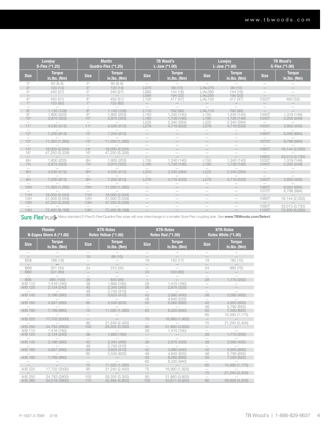|                                       | <b>Lovejoy</b><br>S-Flex (*1.25) |                          | <b>Martin</b><br>Quadra-Flex (*1.25) |                  | <b>TB Wood's</b><br><b>L-Jaw</b> $(*1.00)$ | <b>Lovejoy</b><br>L-Jaw (*1.00) |                                 |                          | <b>TB Wood's</b><br>G-Flex (*1.00) |
|---------------------------------------|----------------------------------|--------------------------|--------------------------------------|------------------|--------------------------------------------|---------------------------------|---------------------------------|--------------------------|------------------------------------|
| <b>Size</b>                           | <b>Torque</b><br>in.lbs. (Nm)    | <b>Size</b>              | <b>Toraue</b><br>in.lbs. (Nm)        | <b>Size</b>      | <b>Toraue</b><br>in.lbs. (Nm)              | <b>Size</b>                     | <b>Toraue</b><br>in.lbs. (Nm)   | <b>Size</b>              | <b>Torque</b><br>in.lbs. (Nm)      |
| $3^*$                                 | 60(6.8)                          | $3^*$                    | 60(6.8)                              |                  |                                            |                                 |                                 |                          |                                    |
| $4^*$                                 | 120(14)                          | $4^*$                    | 120(14)                              | L075             | 90(10)                                     | $L/AL$ 075                      | 90(10)                          |                          |                                    |
| $5*$                                  | 240(27)                          | $5^*$                    | 240(27)                              | L090             | 144(16)                                    | L/AL090                         | 144(16)                         |                          |                                    |
|                                       |                                  |                          |                                      | L095             | 194(22)                                    | L/AL095                         | 194 (22)                        | $-$                      |                                    |
| $6*$                                  | 450 (51)                         | $6*$                     | 450 (51)                             | L100             | 417 (47)                                   | L/AL100                         | 417 (47)                        | 1020T                    | 460 (52)                           |
| $7^*$                                 | 725 (82)                         | $7*$                     | 725 (82)                             |                  |                                            |                                 |                                 | $-$                      |                                    |
|                                       |                                  |                          |                                      |                  |                                            |                                 |                                 |                          |                                    |
| $8*$                                  | 1.135 (128)                      | $8*$                     | 1.135 (128)                          | L110             | 792 (90)                                   | L/AL110                         | 792 (90)                        |                          |                                    |
| $9^*$                                 | 1.800 (203)                      | $9^*$                    | 1.800 (203)                          | L <sub>150</sub> | 1.240 (140)                                | L <sub>150</sub>                | 1.240(140)                      | 1030T                    | 1,319 (149)                        |
| $10*$                                 | 2,875(325)                       | $10*$                    | 2,875(325)                           | L190             | 1,726 (195)                                | L190                            | 1,726 (195)                     | 1040T                    | 2,200(249)                         |
|                                       |                                  |                          |                                      | L225             | 2,340 (264)                                | L225                            | 2,340 (264)                     | $\overline{\phantom{0}}$ |                                    |
| $11*$                                 | 4,530 (512)                      | $11*$                    | 4,530 (512)                          | L276             | 4,716 (533)                                | L276                            | 4,716 (533)                     | 1050T                    | 3,850 (435)                        |
|                                       |                                  |                          |                                      |                  |                                            |                                 |                                 |                          |                                    |
| $12*$                                 | 7,200 (813)                      | $12*$                    | 7,200 (813)                          |                  |                                            |                                 |                                 | 1060T                    | 6,050 (684)                        |
| $\hspace{1.0cm} \rule{1.5cm}{0.15cm}$ |                                  |                          |                                      |                  |                                            |                                 |                                 |                          |                                    |
| $13*$                                 | 11,350 (1,282)                   | $13*$                    | 11,350 (1,282)                       |                  |                                            |                                 |                                 | 1070T                    | 8,798 (994)                        |
|                                       |                                  | $\overline{\phantom{0}}$ |                                      |                  |                                            |                                 | $\overline{\phantom{m}}$        |                          |                                    |
| $14*$                                 | 18,000 (2,034)                   | $14*$                    | 18,000 (2,034)                       |                  |                                            |                                 | $\qquad \qquad -$               | 1080T                    | 18,144 (2,050)                     |
| $16*$                                 | 47,250 (5,339)                   | $16*$                    | 47,250 (5,339)                       |                  |                                            |                                 |                                 | $\overline{\phantom{0}}$ |                                    |
| $\qquad \qquad -$                     |                                  | $\qquad \qquad -$        |                                      |                  | $-$                                        | $\qquad \qquad -$               | $\overline{\phantom{0}}$        | 1090T                    | 33,013 (3,730)                     |
| 6H                                    | 1.800 (203)                      | 6H                       | 1.800 (203)                          | L150             | 1.240 (140)                                | L <sub>150</sub>                | 1.240(140)                      | 1030T                    | 1,319 (149)                        |
| 7H                                    | 2,875(325)                       | 7H                       | 2,875(325)                           | L190             | 1,726 (195)                                | L190                            | 1,726(195)                      | 1040T                    | 2,200(249)                         |
|                                       |                                  |                          |                                      |                  |                                            |                                 |                                 |                          |                                    |
| 8H                                    | 4,530 (512)                      | 8H                       | 4,530 (512)                          | L225             | 2,340 (264)                                | L225                            | 2,340 (264)                     | $-$                      |                                    |
|                                       |                                  |                          |                                      |                  |                                            | $\equiv$                        |                                 |                          |                                    |
| 9H                                    | 7,200 (813)                      | 9H                       | 7,200 (813)                          | L276             | 4.716 (533)                                | L276                            | 4,716 (533)                     | 1050T                    | 3,850(435)                         |
|                                       |                                  |                          |                                      |                  |                                            |                                 |                                 |                          |                                    |
| 10H                                   | 11,350 (1,282)                   | 10H                      | 11,350 (1,282)                       |                  |                                            |                                 |                                 | 1060T                    | 6,050 (684)                        |
|                                       |                                  |                          |                                      |                  |                                            |                                 |                                 | 1070T                    | 8,798 (994)                        |
| 11H                                   | 18,000 (2,034)                   | 11H                      | 18,000 (2,034)                       |                  |                                            |                                 |                                 | $\overline{\phantom{0}}$ |                                    |
| 12H                                   | 31,500 (3,559)                   | 12H                      | 31,500 (3,559)                       |                  | $\overline{\phantom{0}}$                   |                                 |                                 | 1080T                    | 18,144 (2,050)                     |
| 13H                                   | 47,250 (5,339)                   | 13H                      | 47,250 (5,339)                       |                  | $\qquad \qquad -$                          | $\qquad \qquad -$               | $\hspace{0.1mm}-\hspace{0.1mm}$ | $-$                      |                                    |
|                                       |                                  |                          |                                      |                  |                                            |                                 |                                 | 1090T                    | 33,013 (3,730)                     |
| 14H                                   | 72,400 (8,189)                   | 14H                      | 72,400 (8,189)                       |                  |                                            |                                 |                                 | 1100T                    | 72,400 (6,280)                     |

\*Sure-Flex®PLUS-Many standard D-Flex/S-Flex/Quadra-Flex sizes will now interchange to a smaller Sure-Flex coupling size. See www.TBWoods.com/Select

| <b>Torque</b><br><b>Torque</b><br><b>Torque</b><br><b>Torque</b><br><b>Size</b><br><b>Size</b><br><b>Size</b><br><b>Size</b><br>in.lbs. (Nm)<br>in.lbs. (Nm)<br>in.lbs. (Nm)<br>in.lbs. (Nm)<br>19<br>88 (10)<br>$\qquad \qquad -$<br>$\qquad \qquad -$<br><b>B58</b><br>168 (19)<br>19<br>150 (17)<br>19<br>185 (10)<br>$\equiv$<br>$\overline{\phantom{0}}$<br>$\qquad \qquad -$<br>310(35)<br><b>B68</b><br>301 (34)<br>24<br>24<br>660 (75)<br>24<br>530 (60)<br><b>B80</b><br>531 (60)<br>$\qquad \qquad -$<br>$\overline{\phantom{0}}$<br>885 (100)<br>28<br><b>B95</b><br>840 (95)<br>28<br>1,770 (200)<br>38<br>1.415 (160)<br>1.416 (160)<br>1.680 (190)<br>28<br>A/B 110<br>42<br>38<br>A/B 125<br>2,124(240)<br>2.345 (265)<br>2,875 (325)<br>48<br>2,740 (310)<br>55<br>42<br>38<br>A/B 140<br>3,186 (360)<br>3.980(450)<br>3,585 (405)<br>3,625(410)<br>48<br>4,645 (525)<br>$\overline{\phantom{0}}$<br>42<br>A/B 160<br>65<br>5,530 (625)<br>55<br>4.955 (600)<br>4,957 (560)<br>6,060(685)<br>48<br>5.795 (655)<br>A/B 180<br>75<br>11,325 (1,280)<br>65<br>8.320 (940)<br>55<br>7,789 (880)<br>7,300 (825)<br>65<br>10,395 (1,175)<br>A/B 225<br>17.702 (2000)<br>75<br>16,990 (1,920)<br>$\qquad \qquad -$<br>21,240 (2,400)<br>21,240 (2,400)<br>75<br>90<br>31,860 (3,600)<br>A/B 250<br>100<br>29,205 (3,300)<br>90<br>24,783 (2800)<br>$-$<br>28<br>A/B 110<br>1,416 (160)<br>1,415 (160)<br>28<br>A/B 125<br>38<br>1,680 (190)<br>1,770 (200)<br>2,124(240)<br>42<br>38<br>2,875 (325)<br>38<br>A/B 140<br>3,186 (360)<br>2.345 (265)<br>3,585 (405)<br>48<br>2.740(310)<br>42<br>3.980 (450)<br>42<br>A/B 160<br>55<br>3,625(410)<br>4,957 (560)<br>4,955 (600)<br>48<br>4,645 (525)<br>48<br>65<br>5,795 (655)<br>5,530 (625)<br>55<br>A/B 180<br>7,789 (880)<br>6,060(685)<br>55<br>7,300 (825)<br>$\qquad \qquad -$<br>65<br>8,320 (940)<br>$\overline{\phantom{0}}$<br>75<br>11,325 (1,280)<br>65<br>10,395 (1,175)<br>17,702 (2000)<br>75<br>16,990 (1,920)<br>A/B 225<br>90<br>21,240 (2,400)<br>75<br>21,240 (2,400)<br>$\overline{\phantom{0}}$<br>A/B 250<br>24.783 (2800)<br>29,205 (3,300)<br>31.860 (3.600)<br>100<br>90 | <b>Flender</b><br>N-Eupex Shore A (*1.00) | <b>KTR-Rotex</b><br>Rotex Yellow (*1.00) | <b>KTR-Rotex</b><br><b>Rotex Red (*1.00)</b> | <b>KTR-Rotex</b><br>Rotex White (*1.00) |
|--------------------------------------------------------------------------------------------------------------------------------------------------------------------------------------------------------------------------------------------------------------------------------------------------------------------------------------------------------------------------------------------------------------------------------------------------------------------------------------------------------------------------------------------------------------------------------------------------------------------------------------------------------------------------------------------------------------------------------------------------------------------------------------------------------------------------------------------------------------------------------------------------------------------------------------------------------------------------------------------------------------------------------------------------------------------------------------------------------------------------------------------------------------------------------------------------------------------------------------------------------------------------------------------------------------------------------------------------------------------------------------------------------------------------------------------------------------------------------------------------------------------------------------------------------------------------------------------------------------------------------------------------------------------------------------------------------------------------------------------------------------------------------------------------------------------------------------------------------------------------------------------------------------------------------------------------------------------------------------------------------------------------------------------------------------------------------------------------------------------------------------------------------------|-------------------------------------------|------------------------------------------|----------------------------------------------|-----------------------------------------|
|                                                                                                                                                                                                                                                                                                                                                                                                                                                                                                                                                                                                                                                                                                                                                                                                                                                                                                                                                                                                                                                                                                                                                                                                                                                                                                                                                                                                                                                                                                                                                                                                                                                                                                                                                                                                                                                                                                                                                                                                                                                                                                                                                              |                                           |                                          |                                              |                                         |
|                                                                                                                                                                                                                                                                                                                                                                                                                                                                                                                                                                                                                                                                                                                                                                                                                                                                                                                                                                                                                                                                                                                                                                                                                                                                                                                                                                                                                                                                                                                                                                                                                                                                                                                                                                                                                                                                                                                                                                                                                                                                                                                                                              |                                           |                                          |                                              |                                         |
|                                                                                                                                                                                                                                                                                                                                                                                                                                                                                                                                                                                                                                                                                                                                                                                                                                                                                                                                                                                                                                                                                                                                                                                                                                                                                                                                                                                                                                                                                                                                                                                                                                                                                                                                                                                                                                                                                                                                                                                                                                                                                                                                                              |                                           |                                          |                                              |                                         |
|                                                                                                                                                                                                                                                                                                                                                                                                                                                                                                                                                                                                                                                                                                                                                                                                                                                                                                                                                                                                                                                                                                                                                                                                                                                                                                                                                                                                                                                                                                                                                                                                                                                                                                                                                                                                                                                                                                                                                                                                                                                                                                                                                              |                                           |                                          |                                              |                                         |
|                                                                                                                                                                                                                                                                                                                                                                                                                                                                                                                                                                                                                                                                                                                                                                                                                                                                                                                                                                                                                                                                                                                                                                                                                                                                                                                                                                                                                                                                                                                                                                                                                                                                                                                                                                                                                                                                                                                                                                                                                                                                                                                                                              |                                           |                                          |                                              |                                         |
|                                                                                                                                                                                                                                                                                                                                                                                                                                                                                                                                                                                                                                                                                                                                                                                                                                                                                                                                                                                                                                                                                                                                                                                                                                                                                                                                                                                                                                                                                                                                                                                                                                                                                                                                                                                                                                                                                                                                                                                                                                                                                                                                                              |                                           |                                          |                                              |                                         |
|                                                                                                                                                                                                                                                                                                                                                                                                                                                                                                                                                                                                                                                                                                                                                                                                                                                                                                                                                                                                                                                                                                                                                                                                                                                                                                                                                                                                                                                                                                                                                                                                                                                                                                                                                                                                                                                                                                                                                                                                                                                                                                                                                              |                                           |                                          |                                              |                                         |
|                                                                                                                                                                                                                                                                                                                                                                                                                                                                                                                                                                                                                                                                                                                                                                                                                                                                                                                                                                                                                                                                                                                                                                                                                                                                                                                                                                                                                                                                                                                                                                                                                                                                                                                                                                                                                                                                                                                                                                                                                                                                                                                                                              |                                           |                                          |                                              |                                         |
|                                                                                                                                                                                                                                                                                                                                                                                                                                                                                                                                                                                                                                                                                                                                                                                                                                                                                                                                                                                                                                                                                                                                                                                                                                                                                                                                                                                                                                                                                                                                                                                                                                                                                                                                                                                                                                                                                                                                                                                                                                                                                                                                                              |                                           |                                          |                                              |                                         |
|                                                                                                                                                                                                                                                                                                                                                                                                                                                                                                                                                                                                                                                                                                                                                                                                                                                                                                                                                                                                                                                                                                                                                                                                                                                                                                                                                                                                                                                                                                                                                                                                                                                                                                                                                                                                                                                                                                                                                                                                                                                                                                                                                              |                                           |                                          |                                              |                                         |
|                                                                                                                                                                                                                                                                                                                                                                                                                                                                                                                                                                                                                                                                                                                                                                                                                                                                                                                                                                                                                                                                                                                                                                                                                                                                                                                                                                                                                                                                                                                                                                                                                                                                                                                                                                                                                                                                                                                                                                                                                                                                                                                                                              |                                           |                                          |                                              |                                         |
|                                                                                                                                                                                                                                                                                                                                                                                                                                                                                                                                                                                                                                                                                                                                                                                                                                                                                                                                                                                                                                                                                                                                                                                                                                                                                                                                                                                                                                                                                                                                                                                                                                                                                                                                                                                                                                                                                                                                                                                                                                                                                                                                                              |                                           |                                          |                                              |                                         |
|                                                                                                                                                                                                                                                                                                                                                                                                                                                                                                                                                                                                                                                                                                                                                                                                                                                                                                                                                                                                                                                                                                                                                                                                                                                                                                                                                                                                                                                                                                                                                                                                                                                                                                                                                                                                                                                                                                                                                                                                                                                                                                                                                              |                                           |                                          |                                              |                                         |
|                                                                                                                                                                                                                                                                                                                                                                                                                                                                                                                                                                                                                                                                                                                                                                                                                                                                                                                                                                                                                                                                                                                                                                                                                                                                                                                                                                                                                                                                                                                                                                                                                                                                                                                                                                                                                                                                                                                                                                                                                                                                                                                                                              |                                           |                                          |                                              |                                         |
|                                                                                                                                                                                                                                                                                                                                                                                                                                                                                                                                                                                                                                                                                                                                                                                                                                                                                                                                                                                                                                                                                                                                                                                                                                                                                                                                                                                                                                                                                                                                                                                                                                                                                                                                                                                                                                                                                                                                                                                                                                                                                                                                                              |                                           |                                          |                                              |                                         |
|                                                                                                                                                                                                                                                                                                                                                                                                                                                                                                                                                                                                                                                                                                                                                                                                                                                                                                                                                                                                                                                                                                                                                                                                                                                                                                                                                                                                                                                                                                                                                                                                                                                                                                                                                                                                                                                                                                                                                                                                                                                                                                                                                              |                                           |                                          |                                              |                                         |
|                                                                                                                                                                                                                                                                                                                                                                                                                                                                                                                                                                                                                                                                                                                                                                                                                                                                                                                                                                                                                                                                                                                                                                                                                                                                                                                                                                                                                                                                                                                                                                                                                                                                                                                                                                                                                                                                                                                                                                                                                                                                                                                                                              |                                           |                                          |                                              |                                         |
|                                                                                                                                                                                                                                                                                                                                                                                                                                                                                                                                                                                                                                                                                                                                                                                                                                                                                                                                                                                                                                                                                                                                                                                                                                                                                                                                                                                                                                                                                                                                                                                                                                                                                                                                                                                                                                                                                                                                                                                                                                                                                                                                                              |                                           |                                          |                                              |                                         |
|                                                                                                                                                                                                                                                                                                                                                                                                                                                                                                                                                                                                                                                                                                                                                                                                                                                                                                                                                                                                                                                                                                                                                                                                                                                                                                                                                                                                                                                                                                                                                                                                                                                                                                                                                                                                                                                                                                                                                                                                                                                                                                                                                              |                                           |                                          |                                              |                                         |
|                                                                                                                                                                                                                                                                                                                                                                                                                                                                                                                                                                                                                                                                                                                                                                                                                                                                                                                                                                                                                                                                                                                                                                                                                                                                                                                                                                                                                                                                                                                                                                                                                                                                                                                                                                                                                                                                                                                                                                                                                                                                                                                                                              |                                           |                                          |                                              |                                         |
|                                                                                                                                                                                                                                                                                                                                                                                                                                                                                                                                                                                                                                                                                                                                                                                                                                                                                                                                                                                                                                                                                                                                                                                                                                                                                                                                                                                                                                                                                                                                                                                                                                                                                                                                                                                                                                                                                                                                                                                                                                                                                                                                                              |                                           |                                          |                                              |                                         |
|                                                                                                                                                                                                                                                                                                                                                                                                                                                                                                                                                                                                                                                                                                                                                                                                                                                                                                                                                                                                                                                                                                                                                                                                                                                                                                                                                                                                                                                                                                                                                                                                                                                                                                                                                                                                                                                                                                                                                                                                                                                                                                                                                              |                                           |                                          |                                              |                                         |
|                                                                                                                                                                                                                                                                                                                                                                                                                                                                                                                                                                                                                                                                                                                                                                                                                                                                                                                                                                                                                                                                                                                                                                                                                                                                                                                                                                                                                                                                                                                                                                                                                                                                                                                                                                                                                                                                                                                                                                                                                                                                                                                                                              |                                           |                                          |                                              |                                         |
|                                                                                                                                                                                                                                                                                                                                                                                                                                                                                                                                                                                                                                                                                                                                                                                                                                                                                                                                                                                                                                                                                                                                                                                                                                                                                                                                                                                                                                                                                                                                                                                                                                                                                                                                                                                                                                                                                                                                                                                                                                                                                                                                                              |                                           |                                          |                                              |                                         |
|                                                                                                                                                                                                                                                                                                                                                                                                                                                                                                                                                                                                                                                                                                                                                                                                                                                                                                                                                                                                                                                                                                                                                                                                                                                                                                                                                                                                                                                                                                                                                                                                                                                                                                                                                                                                                                                                                                                                                                                                                                                                                                                                                              |                                           |                                          |                                              |                                         |
|                                                                                                                                                                                                                                                                                                                                                                                                                                                                                                                                                                                                                                                                                                                                                                                                                                                                                                                                                                                                                                                                                                                                                                                                                                                                                                                                                                                                                                                                                                                                                                                                                                                                                                                                                                                                                                                                                                                                                                                                                                                                                                                                                              |                                           |                                          |                                              |                                         |
|                                                                                                                                                                                                                                                                                                                                                                                                                                                                                                                                                                                                                                                                                                                                                                                                                                                                                                                                                                                                                                                                                                                                                                                                                                                                                                                                                                                                                                                                                                                                                                                                                                                                                                                                                                                                                                                                                                                                                                                                                                                                                                                                                              |                                           |                                          |                                              |                                         |
|                                                                                                                                                                                                                                                                                                                                                                                                                                                                                                                                                                                                                                                                                                                                                                                                                                                                                                                                                                                                                                                                                                                                                                                                                                                                                                                                                                                                                                                                                                                                                                                                                                                                                                                                                                                                                                                                                                                                                                                                                                                                                                                                                              |                                           |                                          |                                              |                                         |
|                                                                                                                                                                                                                                                                                                                                                                                                                                                                                                                                                                                                                                                                                                                                                                                                                                                                                                                                                                                                                                                                                                                                                                                                                                                                                                                                                                                                                                                                                                                                                                                                                                                                                                                                                                                                                                                                                                                                                                                                                                                                                                                                                              |                                           |                                          |                                              |                                         |
|                                                                                                                                                                                                                                                                                                                                                                                                                                                                                                                                                                                                                                                                                                                                                                                                                                                                                                                                                                                                                                                                                                                                                                                                                                                                                                                                                                                                                                                                                                                                                                                                                                                                                                                                                                                                                                                                                                                                                                                                                                                                                                                                                              |                                           |                                          |                                              |                                         |
|                                                                                                                                                                                                                                                                                                                                                                                                                                                                                                                                                                                                                                                                                                                                                                                                                                                                                                                                                                                                                                                                                                                                                                                                                                                                                                                                                                                                                                                                                                                                                                                                                                                                                                                                                                                                                                                                                                                                                                                                                                                                                                                                                              |                                           |                                          |                                              |                                         |
|                                                                                                                                                                                                                                                                                                                                                                                                                                                                                                                                                                                                                                                                                                                                                                                                                                                                                                                                                                                                                                                                                                                                                                                                                                                                                                                                                                                                                                                                                                                                                                                                                                                                                                                                                                                                                                                                                                                                                                                                                                                                                                                                                              |                                           |                                          |                                              |                                         |
|                                                                                                                                                                                                                                                                                                                                                                                                                                                                                                                                                                                                                                                                                                                                                                                                                                                                                                                                                                                                                                                                                                                                                                                                                                                                                                                                                                                                                                                                                                                                                                                                                                                                                                                                                                                                                                                                                                                                                                                                                                                                                                                                                              |                                           |                                          |                                              |                                         |
| 110<br>90<br>A/B 280<br>34,518 (3900)<br>100<br>39,828 (4,500)<br>42,484 (4,800)<br>43,811 (4,950)                                                                                                                                                                                                                                                                                                                                                                                                                                                                                                                                                                                                                                                                                                                                                                                                                                                                                                                                                                                                                                                                                                                                                                                                                                                                                                                                                                                                                                                                                                                                                                                                                                                                                                                                                                                                                                                                                                                                                                                                                                                           |                                           |                                          |                                              |                                         |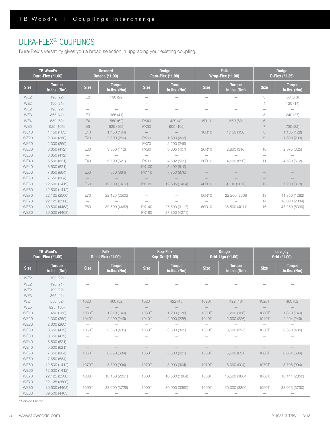# DURA-FLEX® COUPLINGS

Dura-Flex's versatility gives you a broad selection in upgrading your existing coupling.

|                 | <b>TB Wood's</b><br>Dura-Flex (*1.00) |                          | <b>Rexnord</b><br><b>Omega (*1.00)</b> | <b>Falk</b><br><b>Dodge</b><br>Para-Flex (*1.00)<br><b>Wrap-Flex (*1.00)</b> |                               | <b>Dodge</b><br>D-Flex (*1.25) |                               |             |                               |
|-----------------|---------------------------------------|--------------------------|----------------------------------------|------------------------------------------------------------------------------|-------------------------------|--------------------------------|-------------------------------|-------------|-------------------------------|
| <b>Size</b>     | <b>Torque</b><br>in.lbs. (Nm)         | <b>Size</b>              | <b>Torque</b><br>in.lbs. (Nm)          | <b>Size</b>                                                                  | <b>Torque</b><br>in.lbs. (Nm) | <b>Size</b>                    | <b>Torque</b><br>in.lbs. (Nm) | <b>Size</b> | <b>Torque</b><br>in.lbs. (Nm) |
| WE <sub>2</sub> | 190 (22)                              | E <sub>2</sub>           | 190 (22)                               |                                                                              |                               |                                |                               | 3           | 60 (6.8)                      |
| WE <sub>2</sub> | 190(21)                               |                          |                                        |                                                                              |                               |                                |                               | 4           | 120(14)                       |
| WE <sub>2</sub> | 190 (22)                              |                          |                                        |                                                                              |                               |                                |                               |             |                               |
| WE3             | 365(41)                               | E <sub>3</sub>           | 365(41)                                |                                                                              |                               |                                |                               | 5           | 240 (27)                      |
| WE4             | 550 (62)                              | E4                       | 550 (62)                               | <b>PX40</b>                                                                  | 429 (49)                      | 5R10                           | 550 (62)                      | 6           |                               |
| WE5             | 925(105)                              | E <sub>5</sub>           | 925(105)                               | <b>PX50</b>                                                                  | 900(102)                      |                                |                               |             | 725 (82)                      |
| <b>WE10</b>     | 1,450 (163)                           | E10                      | 1,450 (164)                            |                                                                              |                               | 10R10                          | 1,150 (130)                   | 8           | 1,135 (128)                   |
| <b>WE20</b>     | 2,300 (260)                           | E20                      | 2,300(260)                             | <b>PX60</b>                                                                  | 1,800 (203)                   |                                |                               | 9           | 1,800 (203)                   |
| <b>WE20</b>     | 2,300 (260)                           | $\qquad \qquad -$        |                                        | <b>PX70</b>                                                                  | 2,200 (249)                   |                                |                               |             |                               |
| <b>WE30</b>     | 3,650(412)                            | E30                      | 3,650(412)                             | <b>PX80</b>                                                                  | 3,605(407)                    | 20R10                          | 2,800 (316)                   | 10          | 2,875 (325)                   |
| <b>WE30</b>     | 3,650 (412)                           | $\overline{\phantom{0}}$ |                                        |                                                                              |                               |                                |                               |             |                               |
| <b>WE40</b>     | 5,500 (621)                           | E40                      | 5,500 (621)                            | <b>PX90</b>                                                                  | 4,502 (509)                   | 30R10                          | 4,600 (520)                   | 11          | 4,530 (512)                   |
| <b>WE40</b>     | 5,500 (621)                           |                          |                                        | <b>PX100</b>                                                                 | 5,402(610)                    |                                |                               |             |                               |
| <b>WE50</b>     | 7,650 (864)                           | E50                      | 7,650 (864)                            | PX110                                                                        | 7,750 (876)                   |                                |                               |             |                               |
| <b>WE50</b>     | 7,650 (864)                           |                          |                                        |                                                                              |                               |                                |                               |             |                               |
| <b>WE60</b>     | 12,500 (1412)                         | E60                      | 12,500 (1412)                          | <b>PX120</b>                                                                 | 12,605 (1424)                 | 40R10                          | 9,100(1028)                   | 12          | 7,200 (813)                   |
| <b>WE60</b>     | 12,500 (1412)                         |                          |                                        |                                                                              |                               |                                |                               |             |                               |
| WE70            | 22,125 (2500)                         | E70                      | 22,125 (2500)                          |                                                                              |                               | 50R10                          | 22,200 (2508                  | 13          | 11,350 (1282)                 |
| WE70            | 22,125 (2500)                         |                          |                                        |                                                                              |                               |                                |                               | 14          | 18,000 (2034)                 |
| <b>WE80</b>     | 39,500 (4463)                         | E80                      | 39,500 (4463)                          | PX140                                                                        | 27,590 (3117)                 | 60R10                          | 35,500 (4011)                 | 16          | 47,250 (5339)                 |
| <b>WE80</b>     | 39,500 (4463)                         | $\overline{\phantom{m}}$ |                                        | PX160                                                                        | 37,800 (4271)                 |                                |                               |             |                               |

|                 | <b>TB Wood's</b><br>Dura-Flex (*1.00) |                          | <b>Falk</b><br><b>Steel-Flex (*1.00)</b> |                          | <b>Kop-Flex</b><br>Kop-Grid(*1.00) |                   | <b>Dodge</b><br>Grid-Lign (*1.00) |             | Lovejoy<br>Grid (*1.00)       |
|-----------------|---------------------------------------|--------------------------|------------------------------------------|--------------------------|------------------------------------|-------------------|-----------------------------------|-------------|-------------------------------|
| <b>Size</b>     | <b>Torque</b><br>in.lbs. (Nm)         | <b>Size</b>              | <b>Torque</b><br>in.lbs. (Nm)            | <b>Size</b>              | <b>Torque</b><br>in.lbs. (Nm)      | <b>Size</b>       | <b>Torque</b><br>in.lbs. (Nm)     | <b>Size</b> | <b>Torque</b><br>in.lbs. (Nm) |
| WE2             | 190 (22)                              |                          |                                          |                          |                                    |                   |                                   |             |                               |
| WE <sub>2</sub> | 190(21)                               |                          |                                          |                          |                                    |                   |                                   |             |                               |
| WE <sub>2</sub> | 190 (22)                              |                          |                                          |                          |                                    |                   |                                   |             |                               |
| WE3             | 365(41)                               |                          |                                          |                          |                                    |                   |                                   |             |                               |
| WE4             | 550 (62)                              | 1020T                    | 460 (52)                                 | 1020T                    | 422 (48)                           | 1020T             | 422 (48)                          | 1020T       | 460 (52)                      |
| WE5             | 925 (105)                             |                          |                                          |                          |                                    |                   |                                   |             |                               |
| <b>WE10</b>     | 1,450 (163)                           | 1030T                    | 1,319 (149)                              | 1030T                    | 1,200 (136)                        | 1030T             | 1,200 (136)                       | 1030T       | 1,319 (149)                   |
| <b>WE20</b>     | 2,300 (260)                           | 1040T                    | 2,200(249)                               | 1040T                    | 2,000(226)                         | 1040T             | 2,000(226)                        | 1040T       | 2,204(249)                    |
| <b>WE20</b>     | 2,300(260)                            | $\overline{\phantom{m}}$ |                                          |                          |                                    |                   |                                   |             |                               |
| <b>WE30</b>     | 3,650(412)                            | 1050T                    | 3,850 (435)                              | 1050T                    | 3,500 (395)                        | 1050T             | 3,500 (395)                       | 1050T       | 3,850 (435)                   |
| <b>WE30</b>     | 3,650(412)                            |                          |                                          |                          |                                    |                   |                                   |             |                               |
| WE40            | 5,500 (621)                           |                          |                                          |                          |                                    |                   |                                   |             |                               |
| <b>WE40</b>     | 5,500 (621)                           |                          |                                          |                          |                                    |                   |                                   |             |                               |
| <b>WE50</b>     | 7,650 (864)                           | 1060T                    | 6,050 (684)                              | 1060T                    | 5,500(621)                         | 1060T             | 5,500(621)                        | 1060T       | 6,054 (684)                   |
| <b>WE50</b>     | 7,650 (864)                           |                          |                                          |                          |                                    |                   |                                   |             |                               |
| <b>WE60</b>     | 12,500 (1412)                         | 1070T                    | 8,800 (994)                              | 1070T                    | 8,000 (904)                        | 1070T             | 8,000 (904)                       | 1070T       | 8,798 (994)                   |
| <b>WE60</b>     | 12,500 (1412)                         | $\overline{\phantom{m}}$ |                                          | $\overline{\phantom{m}}$ |                                    | $\qquad \qquad -$ |                                   |             |                               |
| WE70            | 22,125 (2500)                         | 1080T                    | 18,150 (2051)                            | 1080T                    | 16,500 (1864)                      | 1080T             | 16,500 (1864)                     | 1080T       | 18,144 (2050)                 |
| WE70            | 22,125 (2500)                         | $\overline{\phantom{m}}$ |                                          |                          |                                    |                   |                                   |             |                               |
| <b>WE80</b>     | 39,500 (4463)                         | 1090T                    | 33,000 (3729)                            | 1090T                    | 30,000 (3390)                      | 1090T             | 30,000 (3390)                     | 1090T       | 33,013 (3730)                 |
| <b>WE80</b>     | 39,500 (4463)                         |                          |                                          |                          |                                    |                   |                                   |             |                               |

\* Service Factor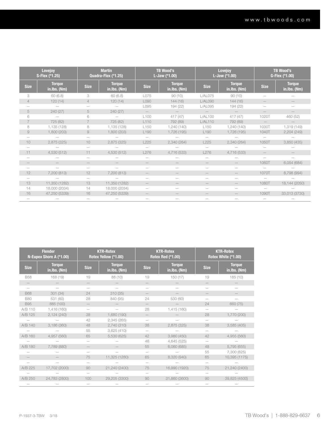|                | <b>Lovejoy</b><br>S-Flex (*1.25) |                 | <b>Martin</b><br>Quadra-Flex (*1.25) |                  | <b>TB Wood's</b><br>L-Jaw (*1.00) |                  | <b>Lovejoy</b><br>L-Jaw (*1.00) |                                 | TB Wood's<br>G-Flex (*1.00)   |
|----------------|----------------------------------|-----------------|--------------------------------------|------------------|-----------------------------------|------------------|---------------------------------|---------------------------------|-------------------------------|
| <b>Size</b>    | <b>Torque</b><br>in.lbs. (Nm)    | <b>Size</b>     | <b>Torque</b><br>in.lbs. (Nm)        | <b>Size</b>      | <b>Torque</b><br>in.lbs. (Nm)     | <b>Size</b>      | <b>Torque</b><br>in.Ibs. (Nm)   | <b>Size</b>                     | <b>Torque</b><br>in.lbs. (Nm) |
| 3              | 60(6.8)                          | 3               | 60(6.8)                              | L075             | 90(10)                            | L/AL075          | 90(10)                          |                                 |                               |
| $\overline{4}$ | 120(14)                          | $\overline{4}$  | 120(14)                              | L090             | 144(16)                           | L/AL090          | 144(16)                         |                                 |                               |
|                |                                  |                 |                                      | L095             | 194 (22)                          | L/AL095          | 194 (22)                        |                                 |                               |
| 5              | 240(27)                          | 5               | 240(27)                              |                  |                                   |                  |                                 |                                 |                               |
| 6              | $\overline{\phantom{0}}$         | 6               | $\overline{\phantom{m}}$             | L <sub>100</sub> | 417(47)                           | L/AL100          | 417(47)                         | 1020T                           | 460 (52)                      |
| $\overline{7}$ | 725 (82)                         | $\overline{7}$  | 725 (82)                             | L110             | 792 (89)                          | L/AL110          | 792 (89)                        | $\hspace{0.1mm}-\hspace{0.1mm}$ |                               |
| 8              | 1,135 (128)                      | 8               | 1,135 (128)                          | L <sub>150</sub> | 1,240 (140)                       | L <sub>150</sub> | 1,240 (140)                     | 1030T                           | 1,319 (149)                   |
| 9              | 1,800 (203)                      | 9               | 1,800 (203)                          | L <sub>190</sub> | 1,726 (195)                       | L <sub>190</sub> | 1,726 (195)                     | 1040T                           | 2,204(249)                    |
|                |                                  |                 |                                      |                  |                                   |                  |                                 |                                 |                               |
| 10             | 2,875 (325)                      | 10              | 2,875 (325)                          | L225             | 2,340 (264)                       | L225             | 2,340 (264)                     | 1050T                           | 3,850(435)                    |
|                |                                  |                 |                                      |                  |                                   |                  |                                 |                                 |                               |
| 11             | 4,530 (512)                      | 11              | 4,530 (512)                          | L276             | 4,716 (533)                       | L276             | 4,716 (533)                     |                                 |                               |
|                |                                  |                 |                                      |                  |                                   |                  |                                 | $\overline{\phantom{0}}$        |                               |
|                |                                  |                 |                                      |                  |                                   |                  |                                 | 1060T                           | 6,054 (684)                   |
| -              | $\hspace{0.1mm}-\hspace{0.1mm}$  | $\qquad \qquad$ | -                                    |                  |                                   | -                |                                 |                                 |                               |
| 12             | 7,200 (813)                      | 12              | 7,200 (813)                          |                  |                                   |                  |                                 | 1070T                           | 8,798 (994)                   |
|                |                                  |                 |                                      |                  |                                   |                  |                                 |                                 |                               |
| 13             | 11,350 (1282)                    | 13              | 11,350 (1282)                        |                  |                                   |                  |                                 | 1080T                           | 18,144 (2050)                 |
| 14             | 18,000 (2034)                    | 14              | 18,000 (2034)                        |                  |                                   |                  |                                 |                                 |                               |
| 16             | 47,250 (5339)                    | 16              | 47,250 (5339)                        |                  |                                   |                  |                                 | 1090T                           | 33,013 (3730)                 |
|                |                                  |                 |                                      |                  |                                   |                  |                                 |                                 |                               |

|             | <b>Flender</b><br>N-Eupex Shore A (*1.00) |             | <b>KTR-Rotex</b><br>Rotex Yellow (*1.00) | <b>KTR-Rotex</b><br><b>Rotex Red (*1.00)</b> |                               |                          | <b>KTR-Rotex</b><br>Rotex White (*1.00) |
|-------------|-------------------------------------------|-------------|------------------------------------------|----------------------------------------------|-------------------------------|--------------------------|-----------------------------------------|
| <b>Size</b> | <b>Torque</b><br>in.lbs. (Nm)             | <b>Size</b> | <b>Torque</b><br>in.lbs. (Nm)            | <b>Size</b>                                  | <b>Torque</b><br>in.lbs. (Nm) | <b>Size</b>              | <b>Torque</b><br>in.lbs. (Nm)           |
| <b>B58</b>  | 168 (19)                                  | 19          | 88 (10)                                  | 19                                           | 150(17)                       | 19                       | 185 (10)                                |
|             |                                           |             |                                          |                                              |                               |                          |                                         |
| -           |                                           |             |                                          |                                              |                               |                          |                                         |
| <b>B68</b>  | 301(34)                                   | 24          | 310(35)                                  |                                              |                               |                          |                                         |
| <b>B80</b>  | 531 (60)                                  | 28          | 840 (95)                                 | 24                                           | 530 (60)                      |                          |                                         |
| <b>B95</b>  | 885 (100)                                 |             |                                          |                                              |                               | 24                       | 660 (75)                                |
| A/B 110     | 1,416 (160)                               |             |                                          | 28                                           | 1,415 (160)                   |                          |                                         |
| A/B 125     | 2,124(240)                                | 38          | 1,680 (190)                              |                                              |                               | 28                       | 1,770 (200)                             |
|             |                                           | 42          | 2,345 (265)                              | $\overline{\phantom{m}}$                     |                               | $\overline{\phantom{m}}$ |                                         |
| A/B 140     | 3,186 (360)                               | 48          | 2,740 (310)                              | 38                                           | 2,875 (325)                   | 38                       | 3,585(405)                              |
|             |                                           | 55          | 3,625(410)                               | -                                            |                               |                          |                                         |
| A/B 160     | 4,957 (560)                               | 65          | 5,530 (625)                              | 42                                           | 3,980(450)                    | 42                       | 4,955 (560)                             |
|             |                                           |             |                                          | 48                                           | 4,645 (525)                   |                          |                                         |
| A/B 180     | 7,789 (880)                               |             |                                          | 55                                           | 6,060(685)                    | 48                       | 5,795 (655)                             |
|             |                                           |             |                                          |                                              |                               | 55                       | 7,300 (825)                             |
|             |                                           | 75          | 11,325 (1280)                            | 65                                           | 8,320 (940)                   | 65                       | 10,395 (1175)                           |
|             |                                           |             |                                          | -                                            |                               | $\overline{\phantom{a}}$ |                                         |
| A/B 225     | 17,702 (2000)                             | 90          | 21,240 (2400)                            | 75                                           | 16,990 (1920)                 | 75                       | 21,240 (2400)                           |
|             |                                           |             |                                          |                                              |                               |                          |                                         |
| A/B 250     | 24,783 (2800)                             | 100         | 29,205 (3300)                            | 90                                           | 31,860 (3600)                 | 90                       | 39,825 (4500)                           |
|             |                                           |             |                                          |                                              |                               |                          |                                         |